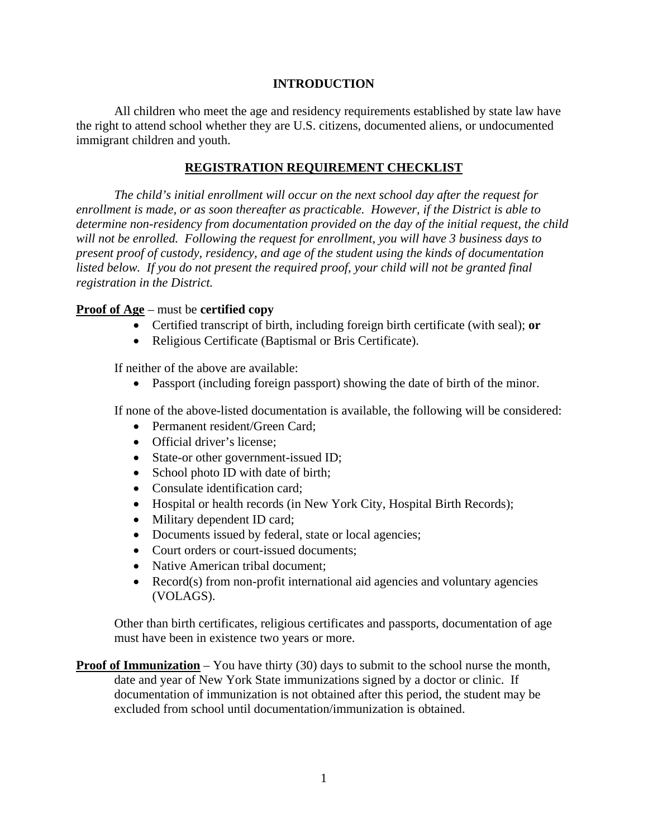### **INTRODUCTION**

All children who meet the age and residency requirements established by state law have the right to attend school whether they are U.S. citizens, documented aliens, or undocumented immigrant children and youth.

#### **REGISTRATION REQUIREMENT CHECKLIST**

*The child's initial enrollment will occur on the next school day after the request for enrollment is made, or as soon thereafter as practicable. However, if the District is able to determine non-residency from documentation provided on the day of the initial request, the child will not be enrolled. Following the request for enrollment, you will have 3 business days to present proof of custody, residency, and age of the student using the kinds of documentation listed below. If you do not present the required proof, your child will not be granted final registration in the District.*

#### **Proof of Age** – must be **certified copy**

- Certified transcript of birth, including foreign birth certificate (with seal); **or**
- Religious Certificate (Baptismal or Bris Certificate).

If neither of the above are available:

Passport (including foreign passport) showing the date of birth of the minor.

If none of the above-listed documentation is available, the following will be considered:

- Permanent resident/Green Card:
- Official driver's license;
- State-or other government-issued ID;
- School photo ID with date of birth;
- Consulate identification card;
- Hospital or health records (in New York City, Hospital Birth Records);
- Military dependent ID card;
- Documents issued by federal, state or local agencies;
- Court orders or court-issued documents:
- Native American tribal document:
- Record(s) from non-profit international aid agencies and voluntary agencies (VOLAGS).

Other than birth certificates, religious certificates and passports, documentation of age must have been in existence two years or more.

**Proof of Immunization** – You have thirty (30) days to submit to the school nurse the month, date and year of New York State immunizations signed by a doctor or clinic. If documentation of immunization is not obtained after this period, the student may be excluded from school until documentation/immunization is obtained.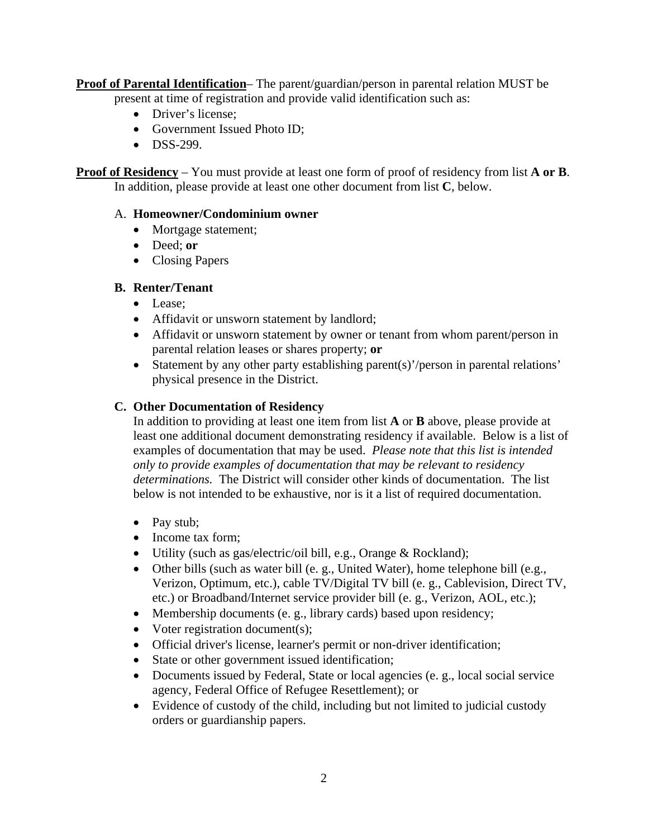**Proof of Parental Identification**– The parent/guardian/person in parental relation MUST be present at time of registration and provide valid identification such as:

- Driver's license;
- Government Issued Photo ID:
- $\bullet$  DSS-299.

**Proof of Residency** – You must provide at least one form of proof of residency from list **A or B**. In addition, please provide at least one other document from list **C**, below.

### A. **Homeowner/Condominium owner**

- Mortgage statement;
- Deed; **or**
- Closing Papers

# **B. Renter/Tenant**

- Lease:
- Affidavit or unsworn statement by landlord;
- Affidavit or unsworn statement by owner or tenant from whom parent/person in parental relation leases or shares property; **or**
- Statement by any other party establishing parent(s)'/person in parental relations' physical presence in the District.

# **C. Other Documentation of Residency**

In addition to providing at least one item from list **A** or **B** above, please provide at least one additional document demonstrating residency if available. Below is a list of examples of documentation that may be used. *Please note that this list is intended only to provide examples of documentation that may be relevant to residency determinations.* The District will consider other kinds of documentation. The list below is not intended to be exhaustive, nor is it a list of required documentation.

- Pay stub;
- Income tax form:
- Utility (such as gas/electric/oil bill, e.g., Orange & Rockland);
- Other bills (such as water bill (e. g., United Water), home telephone bill (e.g., Verizon, Optimum, etc.), cable TV/Digital TV bill (e. g., Cablevision, Direct TV, etc.) or Broadband/Internet service provider bill (e. g., Verizon, AOL, etc.);
- Membership documents (e. g., library cards) based upon residency;
- Voter registration document(s);
- Official driver's license, learner's permit or non-driver identification;
- State or other government issued identification;
- Documents issued by Federal, State or local agencies (e. g., local social service agency, Federal Office of Refugee Resettlement); or
- Evidence of custody of the child, including but not limited to judicial custody orders or guardianship papers.